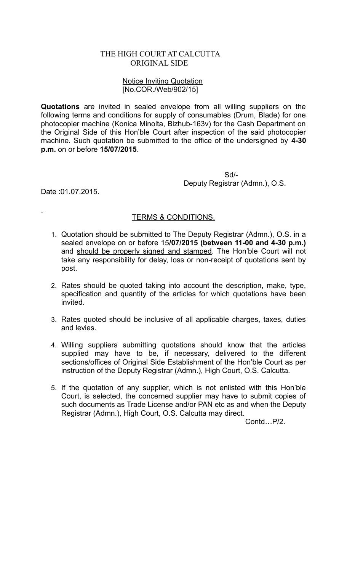## THE HIGH COURT AT CALCUTTA ORIGINAL SIDE

## Notice Inviting Quotation [No.COR./Web/902/15]

**Quotations** are invited in sealed envelope from all willing suppliers on the following terms and conditions for supply of consumables (Drum, Blade) for one photocopier machine (Konica Minolta, Bizhub-163v) for the Cash Department on the Original Side of this Hon'ble Court after inspection of the said photocopier machine. Such quotation be submitted to the office of the undersigned by **4-30 p.m.** on or before **15/07/2015**.

> Sd/- Deputy Registrar (Admn.), O.S.

Date :01.07.2015.

## TERMS & CONDITIONS.

- 1. Quotation should be submitted to The Deputy Registrar (Admn.), O.S. in a sealed envelope on or before 15**/07/2015 (between 11-00 and 4-30 p.m.)** and should be properly signed and stamped. The Hon'ble Court will not take any responsibility for delay, loss or non-receipt of quotations sent by post.
- 2. Rates should be quoted taking into account the description, make, type, specification and quantity of the articles for which quotations have been invited.
- 3. Rates quoted should be inclusive of all applicable charges, taxes, duties and levies.
- 4. Willing suppliers submitting quotations should know that the articles supplied may have to be, if necessary, delivered to the different sections/offices of Original Side Establishment of the Hon'ble Court as per instruction of the Deputy Registrar (Admn.), High Court, O.S. Calcutta.
- 5. If the quotation of any supplier, which is not enlisted with this Hon'ble Court, is selected, the concerned supplier may have to submit copies of such documents as Trade License and/or PAN etc as and when the Deputy Registrar (Admn.), High Court, O.S. Calcutta may direct.

Contd…P/2.